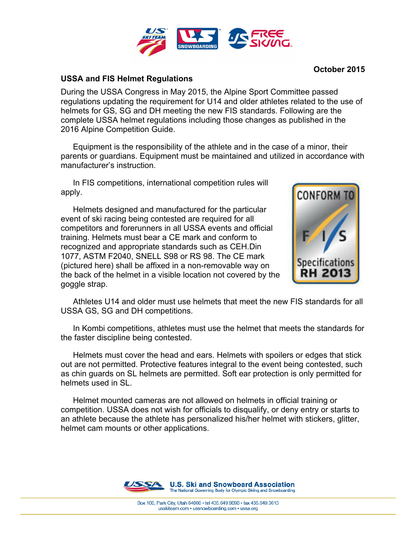

## **USSA and FIS Helmet Regulations**

During the USSA Congress in May 2015, the Alpine Sport Committee passed regulations updating the requirement for U14 and older athletes related to the use of helmets for GS, SG and DH meeting the new FIS standards. Following are the complete USSA helmet regulations including those changes as published in the 2016 Alpine Competition Guide.

 Equipment is the responsibility of the athlete and in the case of a minor, their parents or guardians. Equipment must be maintained and utilized in accordance with manufacturer's instruction.

 In FIS competitions, international competition rules will apply.

 Helmets designed and manufactured for the particular event of ski racing being contested are required for all competitors and forerunners in all USSA events and official training. Helmets must bear a CE mark and conform to recognized and appropriate standards such as CEH.Din 1077, ASTM F2040, SNELL S98 or RS 98. The CE mark (pictured here) shall be affixed in a non-removable way on the back of the helmet in a visible location not covered by the goggle strap.



 Athletes U14 and older must use helmets that meet the new FIS standards for all USSA GS, SG and DH competitions.

 In Kombi competitions, athletes must use the helmet that meets the standards for the faster discipline being contested.

 Helmets must cover the head and ears. Helmets with spoilers or edges that stick out are not permitted. Protective features integral to the event being contested, such as chin guards on SL helmets are permitted. Soft ear protection is only permitted for helmets used in SL.

 Helmet mounted cameras are not allowed on helmets in official training or competition. USSA does not wish for officials to disqualify, or deny entry or starts to an athlete because the athlete has personalized his/her helmet with stickers, glitter, helmet cam mounts or other applications.



## **October 2015**